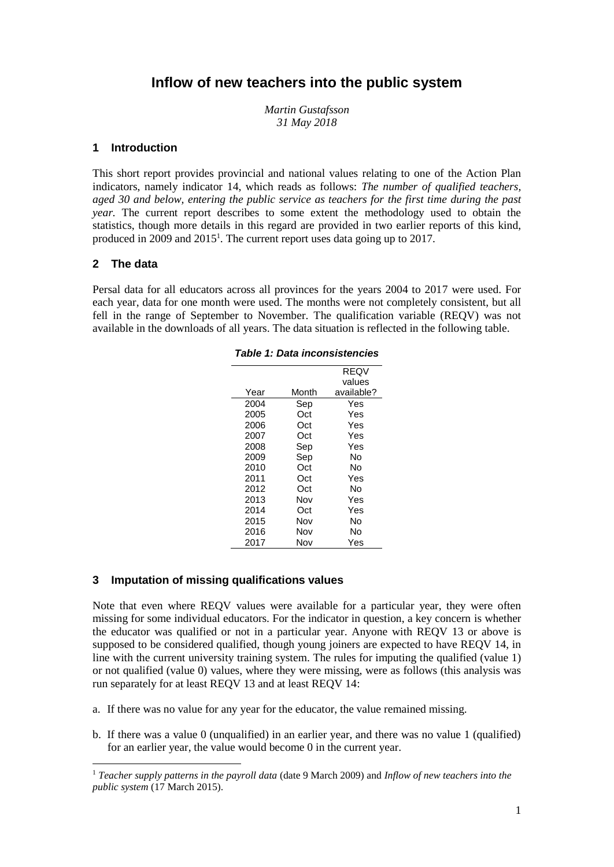# **Inflow of new teachers into the public system**

*Martin Gustafsson 31 May 2018*

#### **1 Introduction**

This short report provides provincial and national values relating to one of the Action Plan indicators, namely indicator 14, which reads as follows: *The number of qualified teachers, aged 30 and below, entering the public service as teachers for the first time during the past year.* The current report describes to some extent the methodology used to obtain the statistics, though more details in this regard are provided in two earlier reports of this kind, produced in 2009 and 2015<sup>1</sup>. The current report uses data going up to 2017.

#### **2 The data**

l

Persal data for all educators across all provinces for the years 2004 to 2017 were used. For each year, data for one month were used. The months were not completely consistent, but all fell in the range of September to November. The qualification variable (REQV) was not available in the downloads of all years. The data situation is reflected in the following table.

|      |       | <b>REQV</b> |
|------|-------|-------------|
|      |       | values      |
| Year | Month | available?  |
| 2004 | Sep   | Yes         |
| 2005 | Oct   | Yes         |
| 2006 | Oct   | Yes         |
| 2007 | Oct   | Yes         |
| 2008 | Sep   | Yes         |
| 2009 | Sep   | N٥          |
| 2010 | Oct   | N٥          |
| 2011 | Oct   | Yes         |
| 2012 | Oct   | N٥          |
| 2013 | Nov   | Yes         |
| 2014 | Oct   | Yes         |
| 2015 | Nov   | N٥          |
| 2016 | Nov   | N٥          |
| 2017 | Nov   | Yes         |

*Table 1: Data inconsistencies*

# **3 Imputation of missing qualifications values**

Note that even where REQV values were available for a particular year, they were often missing for some individual educators. For the indicator in question, a key concern is whether the educator was qualified or not in a particular year. Anyone with REQV 13 or above is supposed to be considered qualified, though young joiners are expected to have REQV 14, in line with the current university training system. The rules for imputing the qualified (value 1) or not qualified (value 0) values, where they were missing, were as follows (this analysis was run separately for at least REQV 13 and at least REQV 14:

- a. If there was no value for any year for the educator, the value remained missing.
- b. If there was a value 0 (unqualified) in an earlier year, and there was no value 1 (qualified) for an earlier year, the value would become 0 in the current year.

<sup>1</sup> *Teacher supply patterns in the payroll data* (date 9 March 2009) and *Inflow of new teachers into the public system* (17 March 2015).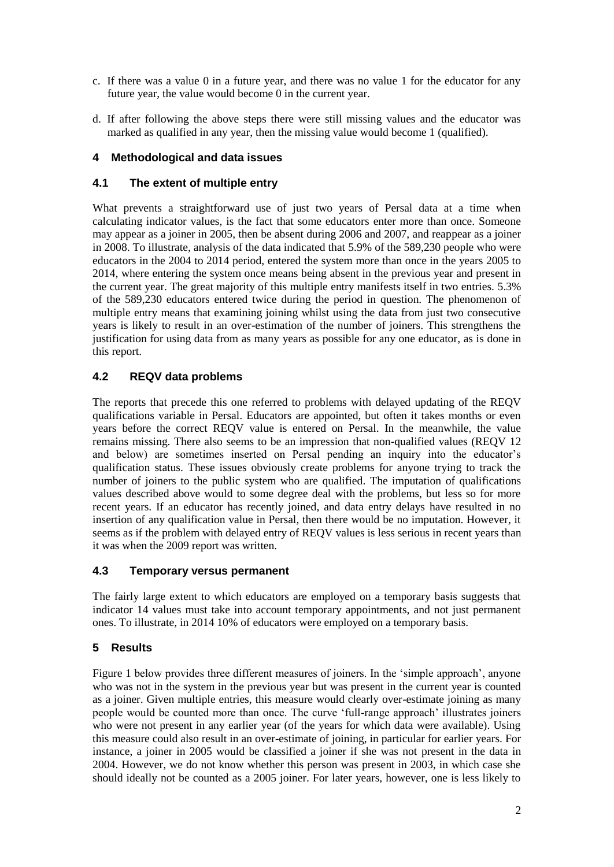- c. If there was a value 0 in a future year, and there was no value 1 for the educator for any future year, the value would become 0 in the current year.
- d. If after following the above steps there were still missing values and the educator was marked as qualified in any year, then the missing value would become 1 (qualified).

# **4 Methodological and data issues**

## **4.1 The extent of multiple entry**

What prevents a straightforward use of just two years of Persal data at a time when calculating indicator values, is the fact that some educators enter more than once. Someone may appear as a joiner in 2005, then be absent during 2006 and 2007, and reappear as a joiner in 2008. To illustrate, analysis of the data indicated that 5.9% of the 589,230 people who were educators in the 2004 to 2014 period, entered the system more than once in the years 2005 to 2014, where entering the system once means being absent in the previous year and present in the current year. The great majority of this multiple entry manifests itself in two entries. 5.3% of the 589,230 educators entered twice during the period in question. The phenomenon of multiple entry means that examining joining whilst using the data from just two consecutive years is likely to result in an over-estimation of the number of joiners. This strengthens the justification for using data from as many years as possible for any one educator, as is done in this report.

# **4.2 REQV data problems**

The reports that precede this one referred to problems with delayed updating of the REQV qualifications variable in Persal. Educators are appointed, but often it takes months or even years before the correct REQV value is entered on Persal. In the meanwhile, the value remains missing. There also seems to be an impression that non-qualified values (REQV 12 and below) are sometimes inserted on Persal pending an inquiry into the educator's qualification status. These issues obviously create problems for anyone trying to track the number of joiners to the public system who are qualified. The imputation of qualifications values described above would to some degree deal with the problems, but less so for more recent years. If an educator has recently joined, and data entry delays have resulted in no insertion of any qualification value in Persal, then there would be no imputation. However, it seems as if the problem with delayed entry of REQV values is less serious in recent years than it was when the 2009 report was written.

## **4.3 Temporary versus permanent**

The fairly large extent to which educators are employed on a temporary basis suggests that indicator 14 values must take into account temporary appointments, and not just permanent ones. To illustrate, in 2014 10% of educators were employed on a temporary basis.

## **5 Results**

[Figure 1](#page-2-0) below provides three different measures of joiners. In the 'simple approach', anyone who was not in the system in the previous year but was present in the current year is counted as a joiner. Given multiple entries, this measure would clearly over-estimate joining as many people would be counted more than once. The curve 'full-range approach' illustrates joiners who were not present in any earlier year (of the years for which data were available). Using this measure could also result in an over-estimate of joining, in particular for earlier years. For instance, a joiner in 2005 would be classified a joiner if she was not present in the data in 2004. However, we do not know whether this person was present in 2003, in which case she should ideally not be counted as a 2005 joiner. For later years, however, one is less likely to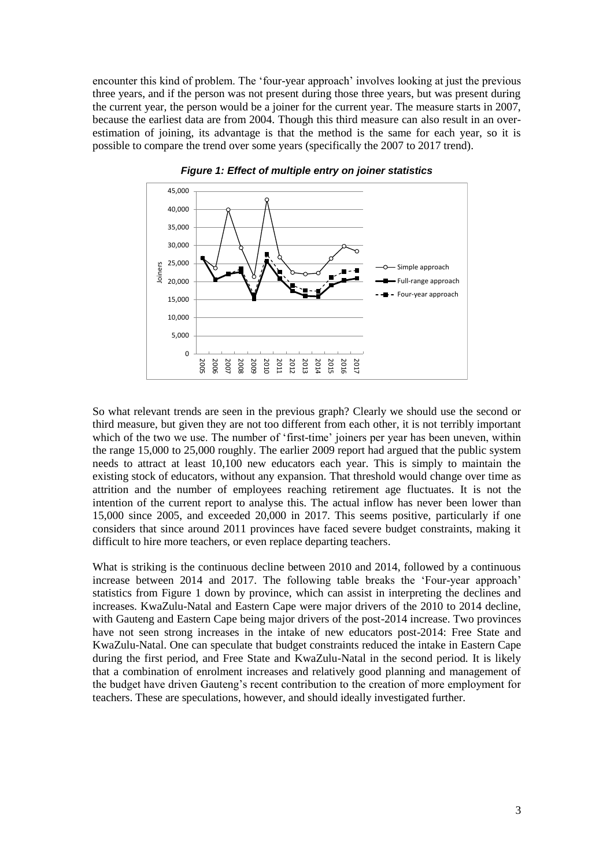encounter this kind of problem. The 'four-year approach' involves looking at just the previous three years, and if the person was not present during those three years, but was present during the current year, the person would be a joiner for the current year. The measure starts in 2007, because the earliest data are from 2004. Though this third measure can also result in an overestimation of joining, its advantage is that the method is the same for each year, so it is possible to compare the trend over some years (specifically the 2007 to 2017 trend).

<span id="page-2-0"></span>

*Figure 1: Effect of multiple entry on joiner statistics*

So what relevant trends are seen in the previous graph? Clearly we should use the second or third measure, but given they are not too different from each other, it is not terribly important which of the two we use. The number of 'first-time' joiners per year has been uneven, within the range 15,000 to 25,000 roughly. The earlier 2009 report had argued that the public system needs to attract at least 10,100 new educators each year. This is simply to maintain the existing stock of educators, without any expansion. That threshold would change over time as attrition and the number of employees reaching retirement age fluctuates. It is not the intention of the current report to analyse this. The actual inflow has never been lower than 15,000 since 2005, and exceeded 20,000 in 2017. This seems positive, particularly if one considers that since around 2011 provinces have faced severe budget constraints, making it difficult to hire more teachers, or even replace departing teachers.

What is striking is the continuous decline between 2010 and 2014, followed by a continuous increase between 2014 and 2017. The following table breaks the 'Four-year approach' statistics from [Figure 1](#page-2-0) down by province, which can assist in interpreting the declines and increases. KwaZulu-Natal and Eastern Cape were major drivers of the 2010 to 2014 decline, with Gauteng and Eastern Cape being major drivers of the post-2014 increase. Two provinces have not seen strong increases in the intake of new educators post-2014: Free State and KwaZulu-Natal. One can speculate that budget constraints reduced the intake in Eastern Cape during the first period, and Free State and KwaZulu-Natal in the second period. It is likely that a combination of enrolment increases and relatively good planning and management of the budget have driven Gauteng's recent contribution to the creation of more employment for teachers. These are speculations, however, and should ideally investigated further.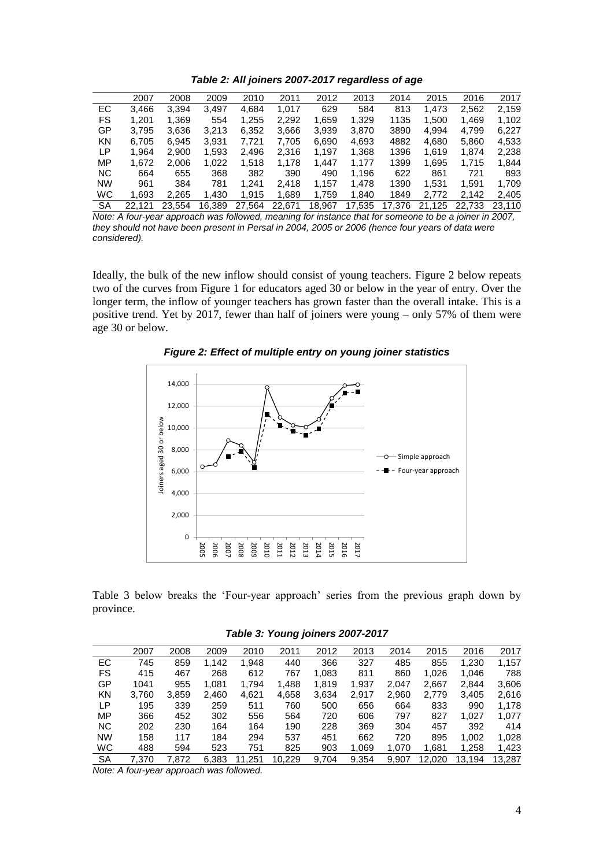*Table 2: All joiners 2007-2017 regardless of age*

|           | 2007  | 2008  | 2009  | 2010  | 2011  | 2012  | 2013  | 2014 | 2015  | 2016  | 2017  |
|-----------|-------|-------|-------|-------|-------|-------|-------|------|-------|-------|-------|
| <b>EC</b> | 3.466 | 3.394 | 3.497 | 4,684 | 1.017 | 629   | 584   | 813  | 1.473 | 2,562 | 2,159 |
| FS.       | 1.201 | 1,369 | 554   | 1,255 | 2,292 | 1,659 | 1,329 | 1135 | 1,500 | 1.469 | 1.102 |
| GP        | 3.795 | 3.636 | 3.213 | 6,352 | 3,666 | 3.939 | 3,870 | 3890 | 4.994 | 4.799 | 6.227 |
| <b>KN</b> | 6.705 | 6,945 | 3,931 | 7,721 | 7,705 | 6,690 | 4,693 | 4882 | 4,680 | 5,860 | 4,533 |
| LP        | 1.964 | 2.900 | 1,593 | 2,496 | 2,316 | 1.197 | 1,368 | 1396 | 1.619 | 1.874 | 2,238 |
| MP        | 1.672 | 2.006 | 1.022 | 1.518 | 1.178 | 1.447 | 1.177 | 1399 | 1.695 | 1.715 | 1.844 |
| <b>NC</b> | 664   | 655   | 368   | 382   | 390   | 490   | 1,196 | 622  | 861   | 721   | 893   |
| <b>NW</b> | 961   | 384   | 781   | 1,241 | 2.418 | 1.157 | 1,478 | 1390 | 1.531 | 1.591 | 1.709 |
| <b>WC</b> | 1.693 | 2.265 | 1.430 | 1.915 | 1,689 | 1.759 | 1,840 | 1849 | 2.772 | 2.142 | 2,405 |
|           |       |       |       |       |       |       |       |      |       |       |       |

SA 22,121 23,554 16,389 27,564 22,671 18,967 17,535 17,376 21,125 22,733 23,110 *Note: A four-year approach was followed, meaning for instance that for someone to be a joiner in 2007, they should not have been present in Persal in 2004, 2005 or 2006 (hence four years of data were considered).*

Ideally, the bulk of the new inflow should consist of young teachers. [Figure 2](#page-3-0) below repeats two of the curves from [Figure 1](#page-2-0) for educators aged 30 or below in the year of entry. Over the longer term, the inflow of younger teachers has grown faster than the overall intake. This is a positive trend. Yet by 2017, fewer than half of joiners were young – only 57% of them were age 30 or below.

<span id="page-3-0"></span>

*Figure 2: Effect of multiple entry on young joiner statistics*

[Table 3](#page-3-1) below breaks the 'Four-year approach' series from the previous graph down by province.

| Table 3: Young joiners 2007-2017 |  |
|----------------------------------|--|
|----------------------------------|--|

<span id="page-3-1"></span>

|           | 2007  | 2008  | 2009  | 2010  | 2011   | 2012  | 2013  | 2014  | 2015   | 2016   | 2017   |
|-----------|-------|-------|-------|-------|--------|-------|-------|-------|--------|--------|--------|
| EC        | 745   | 859   | 1.142 | 1.948 | 440    | 366   | 327   | 485   | 855    | 1,230  | 1,157  |
| FS        | 415   | 467   | 268   | 612   | 767    | 1,083 | 811   | 860   | 1.026  | 1.046  | 788    |
| GP        | 1041  | 955   | 1.081 | 1.794 | 1,488  | 1,819 | 1,937 | 2.047 | 2,667  | 2.844  | 3,606  |
| KN        | 3.760 | 3,859 | 2,460 | 4,621 | 4,658  | 3,634 | 2.917 | 2,960 | 2.779  | 3.405  | 2,616  |
| LP        | 195   | 339   | 259   | 511   | 760    | 500   | 656   | 664   | 833    | 990    | 1,178  |
| MP        | 366   | 452   | 302   | 556   | 564    | 720   | 606   | 797   | 827    | 1.027  | 1.077  |
| <b>NC</b> | 202   | 230   | 164   | 164   | 190    | 228   | 369   | 304   | 457    | 392    | 414    |
| <b>NW</b> | 158   | 117   | 184   | 294   | 537    | 451   | 662   | 720   | 895    | 1.002  | 1,028  |
| <b>WC</b> | 488   | 594   | 523   | 751   | 825    | 903   | 1,069 | 1.070 | 1.681  | 1,258  | 1,423  |
| SA        | 7.370 | 7.872 | 6.383 | .251  | 10.229 | 9.704 | 9,354 | 9.907 | 12.020 | 13.194 | 13.287 |

*Note: A four-year approach was followed.*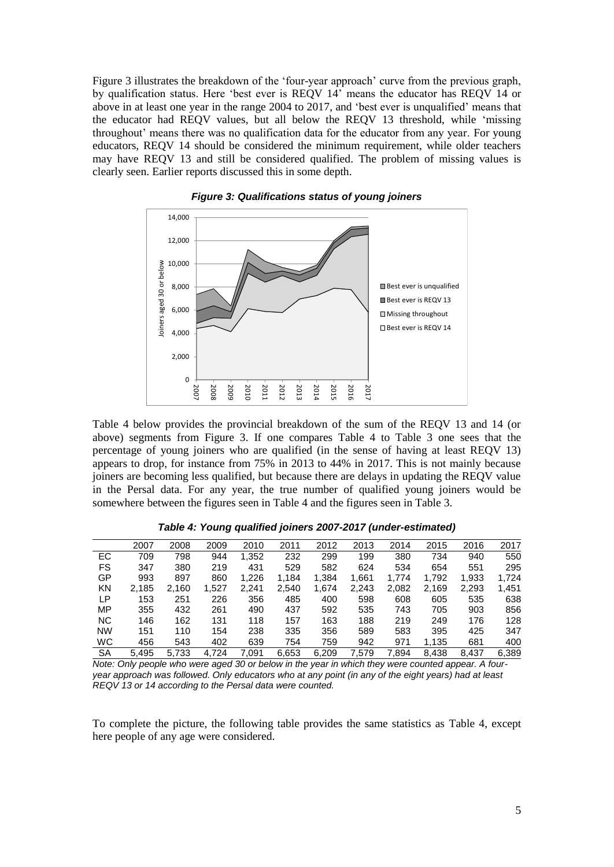[Figure 3](#page-4-0) illustrates the breakdown of the 'four-year approach' curve from the previous graph, by qualification status. Here 'best ever is REQV 14' means the educator has REQV 14 or above in at least one year in the range 2004 to 2017, and 'best ever is unqualified' means that the educator had REQV values, but all below the REQV 13 threshold, while 'missing throughout' means there was no qualification data for the educator from any year. For young educators, REQV 14 should be considered the minimum requirement, while older teachers may have REQV 13 and still be considered qualified. The problem of missing values is clearly seen. Earlier reports discussed this in some depth.

<span id="page-4-0"></span>



[Table 4](#page-4-1) below provides the provincial breakdown of the sum of the REQV 13 and 14 (or above) segments from [Figure 3.](#page-4-0) If one compares [Table 4](#page-4-1) to [Table 3](#page-3-1) one sees that the percentage of young joiners who are qualified (in the sense of having at least REQV 13) appears to drop, for instance from 75% in 2013 to 44% in 2017. This is not mainly because joiners are becoming less qualified, but because there are delays in updating the REQV value in the Persal data. For any year, the true number of qualified young joiners would be somewhere between the figures seen in [Table 4](#page-4-1) and the figures seen in [Table 3.](#page-3-1)

<span id="page-4-1"></span>

|           | 2007  | 2008  | 2009  | 2010  | 2011  | 2012  | 2013  | 2014  | 2015  | 2016  | 2017  |
|-----------|-------|-------|-------|-------|-------|-------|-------|-------|-------|-------|-------|
| <b>EC</b> | 709   | 798   | 944   | 1,352 | 232   | 299   | 199   | 380   | 734   | 940   | 550   |
| <b>FS</b> | 347   | 380   | 219   | 431   | 529   | 582   | 624   | 534   | 654   | 551   | 295   |
| GP        | 993   | 897   | 860   | 1,226 | 1,184 | 1,384 | 1,661 | 1.774 | 1,792 | 1,933 | 1,724 |
| KN        | 2,185 | 2.160 | 1,527 | 2.241 | 2,540 | 1.674 | 2,243 | 2,082 | 2,169 | 2,293 | 1,451 |
| LР        | 153   | 251   | 226   | 356   | 485   | 400   | 598   | 608   | 605   | 535   | 638   |
| MP        | 355   | 432   | 261   | 490   | 437   | 592   | 535   | 743   | 705   | 903   | 856   |
| <b>NC</b> | 146   | 162   | 131   | 118   | 157   | 163   | 188   | 219   | 249   | 176   | 128   |
| <b>NW</b> | 151   | 110   | 154   | 238   | 335   | 356   | 589   | 583   | 395   | 425   | 347   |
| <b>WC</b> | 456   | 543   | 402   | 639   | 754   | 759   | 942   | 971   | 1.135 | 681   | 400   |
| SA        | 5.495 | 5,733 | 4.724 | 7.091 | 6,653 | 6.209 | 7.579 | 7.894 | 8.438 | 8.437 | 6.389 |

*Table 4: Young qualified joiners 2007-2017 (under-estimated)*

*Note: Only people who were aged 30 or below in the year in which they were counted appear. A fouryear approach was followed. Only educators who at any point (in any of the eight years) had at least REQV 13 or 14 according to the Persal data were counted.*

To complete the picture, the following table provides the same statistics as [Table 4,](#page-4-1) except here people of any age were considered.